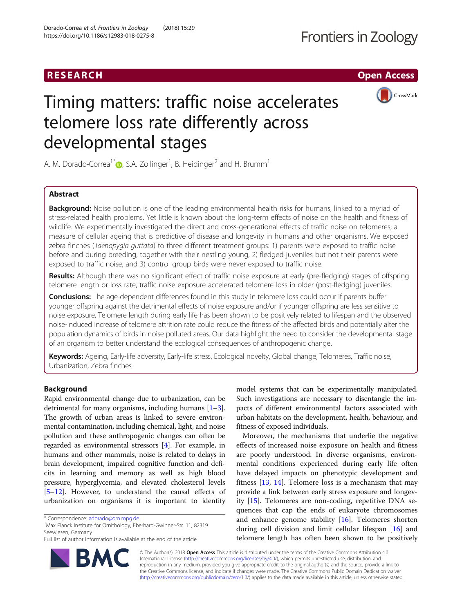# RESEARCH **RESEARCH CHOOSE ACCESS**



# Timing matters: traffic noise accelerates telomere loss rate differently across developmental stages

A. M. Dorado-Correa<sup>1\*</sup> $\textsf{D}$ [,](http://orcid.org/0000-0001-5277-8760) S.A. Zollinger<sup>1</sup>, B. Heidinger<sup>2</sup> and H. Brumm<sup>1</sup>

# Abstract

Background: Noise pollution is one of the leading environmental health risks for humans, linked to a myriad of stress-related health problems. Yet little is known about the long-term effects of noise on the health and fitness of wildlife. We experimentally investigated the direct and cross-generational effects of traffic noise on telomeres; a measure of cellular ageing that is predictive of disease and longevity in humans and other organisms. We exposed zebra finches (Taenopygia guttata) to three different treatment groups: 1) parents were exposed to traffic noise before and during breeding, together with their nestling young, 2) fledged juveniles but not their parents were exposed to traffic noise, and 3) control group birds were never exposed to traffic noise.

Results: Although there was no significant effect of traffic noise exposure at early (pre-fledging) stages of offspring telomere length or loss rate, traffic noise exposure accelerated telomere loss in older (post-fledging) juveniles.

**Conclusions:** The age-dependent differences found in this study in telomere loss could occur if parents buffer younger offspring against the detrimental effects of noise exposure and/or if younger offspring are less sensitive to noise exposure. Telomere length during early life has been shown to be positively related to lifespan and the observed noise-induced increase of telomere attrition rate could reduce the fitness of the affected birds and potentially alter the population dynamics of birds in noise polluted areas. Our data highlight the need to consider the developmental stage of an organism to better understand the ecological consequences of anthropogenic change.

Keywords: Ageing, Early-life adversity, Early-life stress, Ecological novelty, Global change, Telomeres, Traffic noise, Urbanization, Zebra finches

# Background

Rapid environmental change due to urbanization, can be detrimental for many organisms, including humans [[1](#page-6-0)–[3](#page-6-0)]. The growth of urban areas is linked to severe environmental contamination, including chemical, light, and noise pollution and these anthropogenic changes can often be regarded as environmental stressors [[4](#page-6-0)]. For example, in humans and other mammals, noise is related to delays in brain development, impaired cognitive function and deficits in learning and memory as well as high blood pressure, hyperglycemia, and elevated cholesterol levels [[5](#page-6-0)–[12](#page-6-0)]. However, to understand the causal effects of urbanization on organisms it is important to identify

BM

<sup>1</sup>Max Planck Institute for Ornithology, Eberhard-Gwinner-Str. 11, 82319 Seewiesen, Germany



Moreover, the mechanisms that underlie the negative effects of increased noise exposure on health and fitness are poorly understood. In diverse organisms, environmental conditions experienced during early life often have delayed impacts on phenotypic development and fitness [\[13](#page-6-0), [14\]](#page-6-0). Telomere loss is a mechanism that may provide a link between early stress exposure and longevity [\[15](#page-6-0)]. Telomeres are non-coding, repetitive DNA sequences that cap the ends of eukaryote chromosomes and enhance genome stability [[16\]](#page-6-0). Telomeres shorten during cell division and limit cellular lifespan [\[16](#page-6-0)] and telomere length has often been shown to be positively

© The Author(s). 2018 Open Access This article is distributed under the terms of the Creative Commons Attribution 4.0 International License [\(http://creativecommons.org/licenses/by/4.0/](http://creativecommons.org/licenses/by/4.0/)), which permits unrestricted use, distribution, and reproduction in any medium, provided you give appropriate credit to the original author(s) and the source, provide a link to the Creative Commons license, and indicate if changes were made. The Creative Commons Public Domain Dedication waiver [\(http://creativecommons.org/publicdomain/zero/1.0/](http://creativecommons.org/publicdomain/zero/1.0/)) applies to the data made available in this article, unless otherwise stated.

<sup>\*</sup> Correspondence: [adorado@orn.mpg.de](mailto:adorado@orn.mpg.de) <sup>1</sup>

Full list of author information is available at the end of the article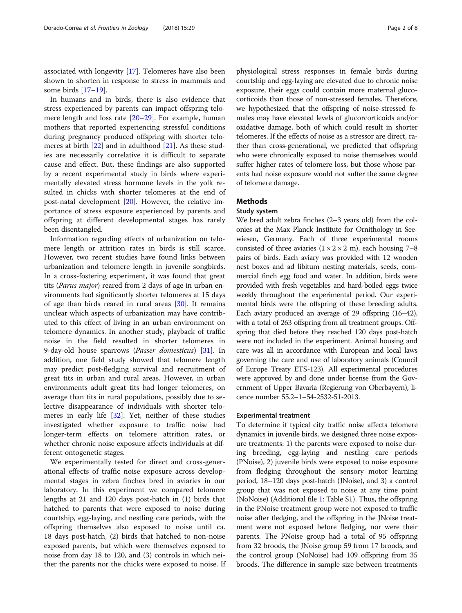associated with longevity [[17\]](#page-6-0). Telomeres have also been shown to shorten in response to stress in mammals and some birds [[17](#page-6-0)–[19](#page-6-0)].

In humans and in birds, there is also evidence that stress experienced by parents can impact offspring telomere length and loss rate [\[20](#page-6-0)–[29\]](#page-7-0). For example, human mothers that reported experiencing stressful conditions during pregnancy produced offspring with shorter telomeres at birth [[22\]](#page-6-0) and in adulthood [\[21](#page-6-0)]. As these studies are necessarily correlative it is difficult to separate cause and effect. But, these findings are also supported by a recent experimental study in birds where experimentally elevated stress hormone levels in the yolk resulted in chicks with shorter telomeres at the end of post-natal development [\[20](#page-6-0)]. However, the relative importance of stress exposure experienced by parents and offspring at different developmental stages has rarely been disentangled.

Information regarding effects of urbanization on telomere length or attrition rates in birds is still scarce. However, two recent studies have found links between urbanization and telomere length in juvenile songbirds. In a cross-fostering experiment, it was found that great tits (Parus major) reared from 2 days of age in urban environments had significantly shorter telomeres at 15 days of age than birds reared in rural areas  $[30]$ . It remains unclear which aspects of urbanization may have contributed to this effect of living in an urban environment on telomere dynamics. In another study, playback of traffic noise in the field resulted in shorter telomeres in 9-day-old house sparrows (Passer domesticus) [[31](#page-7-0)]. In addition, one field study showed that telomere length may predict post-fledging survival and recruitment of great tits in urban and rural areas. However, in urban environments adult great tits had longer telomeres, on average than tits in rural populations, possibly due to selective disappearance of individuals with shorter telomeres in early life [[32\]](#page-7-0). Yet, neither of these studies investigated whether exposure to traffic noise had longer-term effects on telomere attrition rates, or whether chronic noise exposure affects individuals at different ontogenetic stages.

We experimentally tested for direct and cross-generational effects of traffic noise exposure across developmental stages in zebra finches bred in aviaries in our laboratory. In this experiment we compared telomere lengths at 21 and 120 days post-hatch in (1) birds that hatched to parents that were exposed to noise during courtship, egg-laying, and nestling care periods, with the offspring themselves also exposed to noise until ca. 18 days post-hatch, (2) birds that hatched to non-noise exposed parents, but which were themselves exposed to noise from day 18 to 120, and (3) controls in which neither the parents nor the chicks were exposed to noise. If

physiological stress responses in female birds during courtship and egg-laying are elevated due to chronic noise exposure, their eggs could contain more maternal glucocorticoids than those of non-stressed females. Therefore, we hypothesized that the offspring of noise-stressed females may have elevated levels of glucorcorticoids and/or oxidative damage, both of which could result in shorter telomeres. If the effects of noise as a stressor are direct, rather than cross-generational, we predicted that offspring who were chronically exposed to noise themselves would suffer higher rates of telomere loss, but those whose parents had noise exposure would not suffer the same degree of telomere damage.

# **Methods**

# Study system

We bred adult zebra finches (2–3 years old) from the colonies at the Max Planck Institute for Ornithology in Seewiesen, Germany. Each of three experimental rooms consisted of three aviaries  $(1 \times 2 \times 2 \text{ m})$ , each housing 7–8 pairs of birds. Each aviary was provided with 12 wooden nest boxes and ad libitum nesting materials, seeds, commercial finch egg food and water. In addition, birds were provided with fresh vegetables and hard-boiled eggs twice weekly throughout the experimental period. Our experimental birds were the offspring of these breeding adults. Each aviary produced an average of 29 offspring (16–42), with a total of 263 offspring from all treatment groups. Offspring that died before they reached 120 days post-hatch were not included in the experiment. Animal housing and care was all in accordance with European and local laws governing the care and use of laboratory animals (Council of Europe Treaty ETS-123). All experimental procedures were approved by and done under license from the Government of Upper Bavaria (Regierung von Oberbayern), licence number 55.2–1–54-2532-51-2013.

#### Experimental treatment

To determine if typical city traffic noise affects telomere dynamics in juvenile birds, we designed three noise exposure treatments: 1) the parents were exposed to noise during breeding, egg-laying and nestling care periods (PNoise), 2) juvenile birds were exposed to noise exposure from fledging throughout the sensory motor learning period, 18–120 days post-hatch (JNoise), and 3) a control group that was not exposed to noise at any time point (NoNoise) (Additional file [1](#page-5-0): Table S1). Thus, the offspring in the PNoise treatment group were not exposed to traffic noise after fledging, and the offspring in the JNoise treatment were not exposed before fledging, nor were their parents. The PNoise group had a total of 95 offspring from 32 broods, the JNoise group 59 from 17 broods, and the control group (NoNoise) had 109 offspring from 35 broods. The difference in sample size between treatments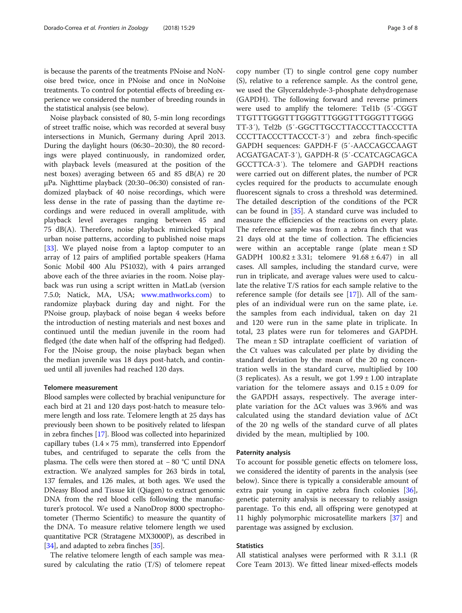is because the parents of the treatments PNoise and NoNoise bred twice, once in PNoise and once in NoNoise treatments. To control for potential effects of breeding experience we considered the number of breeding rounds in the statistical analysis (see below).

Noise playback consisted of 80, 5-min long recordings of street traffic noise, which was recorded at several busy intersections in Munich, Germany during April 2013. During the daylight hours (06:30–20:30), the 80 recordings were played continuously, in randomized order, with playback levels (measured at the position of the nest boxes) averaging between 65 and 85 dB(A) re 20 μPa. Nighttime playback (20:30–06:30) consisted of randomized playback of 40 noise recordings, which were less dense in the rate of passing than the daytime recordings and were reduced in overall amplitude, with playback level averages ranging between 45 and 75 dB(A). Therefore, noise playback mimicked typical urban noise patterns, according to published noise maps [[33\]](#page-7-0). We played noise from a laptop computer to an array of 12 pairs of amplified portable speakers (Hama Sonic Mobil 400 Alu PS1032), with 4 pairs arranged above each of the three aviaries in the room. Noise playback was run using a script written in MatLab (version 7.5.0; Natick, MA, USA; [www.mathworks.com](http://www.mathworks.com)) to randomize playback during day and night. For the PNoise group, playback of noise began 4 weeks before the introduction of nesting materials and nest boxes and continued until the median juvenile in the room had fledged (the date when half of the offspring had fledged). For the JNoise group, the noise playback began when the median juvenile was 18 days post-hatch, and continued until all juveniles had reached 120 days.

#### Telomere measurement

Blood samples were collected by brachial venipuncture for each bird at 21 and 120 days post-hatch to measure telomere length and loss rate. Telomere length at 25 days has previously been shown to be positively related to lifespan in zebra finches [[17](#page-6-0)]. Blood was collected into heparinized capillary tubes  $(1.4 \times 75 \text{ mm})$ , transferred into Eppendorf tubes, and centrifuged to separate the cells from the plasma. The cells were then stored at − 80 °C until DNA extraction. We analyzed samples for 263 birds in total, 137 females, and 126 males, at both ages. We used the DNeasy Blood and Tissue kit (Qiagen) to extract genomic DNA from the red blood cells following the manufacturer's protocol. We used a NanoDrop 8000 spectrophotometer (Thermo Scientific) to measure the quantity of the DNA. To measure relative telomere length we used quantitative PCR (Stratagene MX3000P), as described in [[34](#page-7-0)], and adapted to zebra finches [\[35\]](#page-7-0).

The relative telomere length of each sample was measured by calculating the ratio  $(T/S)$  of telomere repeat copy number (T) to single control gene copy number (S), relative to a reference sample. As the control gene, we used the Glyceraldehyde-3-phosphate dehydrogenase (GAPDH). The following forward and reverse primers were used to amplify the telomere: Tel1b (5′-CGGT TTGTTTGGGTTTGGGTTTGGGTTTGGGTTTGGG TT-3′), Tel2b (5′-GGCTTGCCTTACCCTTACCCTTA CCCTTACCCTTACCCT-3′) and zebra finch-specific GAPDH sequences: GAPDH-F (5′-AACCAGCCAAGT ACGATGACAT-3′), GAPDH-R (5′-CCATCAGCAGCA GCCTTCA-3′). The telomere and GAPDH reactions were carried out on different plates, the number of PCR cycles required for the products to accumulate enough fluorescent signals to cross a threshold was determined. The detailed description of the conditions of the PCR can be found in [\[35\]](#page-7-0). A standard curve was included to measure the efficiencies of the reactions on every plate. The reference sample was from a zebra finch that was 21 days old at the time of collection. The efficiencies were within an acceptable range (plate mean  $\pm$  SD GADPH  $100.82 \pm 3.31$ ; telomere  $91.68 \pm 6.47$ ) in all cases. All samples, including the standard curve, were run in triplicate, and average values were used to calculate the relative T/S ratios for each sample relative to the reference sample (for details see  $[17]$  $[17]$  $[17]$ ). All of the samples of an individual were run on the same plate, i.e. the samples from each individual, taken on day 21 and 120 were run in the same plate in triplicate. In total, 23 plates were run for telomeres and GAPDH. The mean  $\pm$  SD intraplate coefficient of variation of the Ct values was calculated per plate by dividing the standard deviation by the mean of the 20 ng concentration wells in the standard curve, multiplied by 100 (3 replicates). As a result, we got  $1.99 \pm 1.00$  intraplate variation for the telomere assays and  $0.15 \pm 0.09$  for the GAPDH assays, respectively. The average interplate variation for the ΔCt values was 3.96% and was calculated using the standard deviation value of ΔCt of the 20 ng wells of the standard curve of all plates divided by the mean, multiplied by 100.

#### Paternity analysis

To account for possible genetic effects on telomere loss, we considered the identity of parents in the analysis (see below). Since there is typically a considerable amount of extra pair young in captive zebra finch colonies [\[36](#page-7-0)], genetic paternity analysis is necessary to reliably assign parentage. To this end, all offspring were genotyped at 11 highly polymorphic microsatellite markers [[37\]](#page-7-0) and parentage was assigned by exclusion.

# **Statistics**

All statistical analyses were performed with R 3.1.1 (R Core Team 2013). We fitted linear mixed-effects models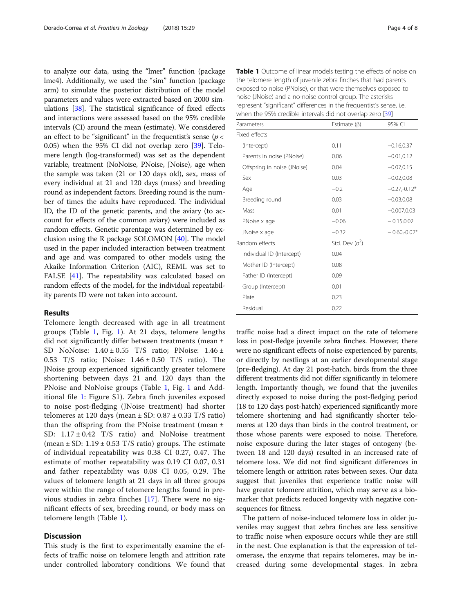to analyze our data, using the "lmer" function (package lme4). Additionally, we used the "sim" function (package arm) to simulate the posterior distribution of the model parameters and values were extracted based on 2000 simulations [\[38\]](#page-7-0). The statistical significance of fixed effects and interactions were assessed based on the 95% credible intervals (CI) around the mean (estimate). We considered an effect to be "significant" in the frequentist's sense ( $p <$ 0.05) when the 95% CI did not overlap zero [[39](#page-7-0)]. Telomere length (log-transformed) was set as the dependent variable, treatment (NoNoise, PNoise, JNoise), age when the sample was taken (21 or 120 days old), sex, mass of every individual at 21 and 120 days (mass) and breeding round as independent factors. Breeding round is the number of times the adults have reproduced. The individual ID, the ID of the genetic parents, and the aviary (to account for effects of the common aviary) were included as random effects. Genetic parentage was determined by exclusion using the R package SOLOMON [\[40](#page-7-0)]. The model used in the paper included interaction between treatment and age and was compared to other models using the Akaike Information Criterion (AIC), REML was set to FALSE [\[41\]](#page-7-0). The repeatability was calculated based on random effects of the model, for the individual repeatability parents ID were not taken into account.

## Results

Telomere length decreased with age in all treatment groups (Table 1, Fig. [1\)](#page-4-0). At 21 days, telomere lengths did not significantly differ between treatments (mean ± SD NoNoise: 1.40 ± 0.55 T/S ratio; PNoise: 1.46 ± 0.53 T/S ratio; JNoise:  $1.46 \pm 0.50$  T/S ratio). The JNoise group experienced significantly greater telomere shortening between days 21 and 120 days than the PNoise and NoNoise groups (Table 1, Fig. [1](#page-4-0) and Additional file [1:](#page-5-0) Figure S1). Zebra finch juveniles exposed to noise post-fledging (JNoise treatment) had shorter telomeres at 120 days (mean  $\pm$  SD: 0.87  $\pm$  0.33 T/S ratio) than the offspring from the PNoise treatment (mean ± SD: 1.17 ± 0.42 T/S ratio) and NoNoise treatment (mean  $\pm$  SD: 1.19  $\pm$  0.53 T/S ratio) groups. The estimate of individual repeatability was 0.38 CI 0.27, 0.47. The estimate of mother repeatability was 0.19 CI 0.07, 0.31 and father repeatability was 0.08 CI 0.05, 0.29. The values of telomere length at 21 days in all three groups were within the range of telomere lengths found in previous studies in zebra finches [[17\]](#page-6-0). There were no significant effects of sex, breeding round, or body mass on telomere length (Table 1).

## **Discussion**

This study is the first to experimentally examine the effects of traffic noise on telomere length and attrition rate under controlled laboratory conditions. We found that

Table 1 Outcome of linear models testing the effects of noise on the telomere length of juvenile zebra finches that had parents exposed to noise (PNoise), or that were themselves exposed to noise (JNoise) and a no-noise control group. The asterisks represent "significant" differences in the frequentist's sense, i.e. when the 95% credible intervals did not overlap zero [\[39](#page-7-0)]

| 2010 Credibic intervals and not overlap zero [02] |                       |                |
|---------------------------------------------------|-----------------------|----------------|
| Parameters                                        | Estimate $(\beta)$    | 95% CI         |
| Fixed effects                                     |                       |                |
| (Intercept)                                       | 0.11                  | $-0.16, 0.37$  |
| Parents in noise (PNoise)                         | 0.06                  | $-0.01, 0.12$  |
| Offspring in noise (JNoise)                       | 0.04                  | $-0.07, 0.15$  |
| Sex                                               | 0.03                  | $-0.02, 0.08$  |
| Age                                               | $-0.2$                | $-0.27,-0.12*$ |
| Breeding round                                    | 0.03                  | $-0.03,0.08$   |
| Mass                                              | 0.01                  | $-0.007,0.03$  |
| PNoise x age                                      | $-0.06$               | $-0.15,0.02$   |
| JNoise x age                                      | $-0.32$               | $-0.60,-0.02*$ |
| Random effects                                    | Std. Dev $(\sigma^2)$ |                |
| Individual ID (Intercept)                         | 0.04                  |                |
| Mother ID (Intercept)                             | 0.08                  |                |
| Father ID (Intercept)                             | 0.09                  |                |
| Group (Intercept)                                 | 0.01                  |                |
| Plate                                             | 0.23                  |                |
| Residual                                          | 0.22                  |                |

traffic noise had a direct impact on the rate of telomere loss in post-fledge juvenile zebra finches. However, there were no significant effects of noise experienced by parents, or directly by nestlings at an earlier developmental stage (pre-fledging). At day 21 post-hatch, birds from the three different treatments did not differ significantly in telomere length. Importantly though, we found that the juveniles directly exposed to noise during the post-fledging period (18 to 120 days post-hatch) experienced significantly more telomere shortening and had significantly shorter telomeres at 120 days than birds in the control treatment, or those whose parents were exposed to noise. Therefore, noise exposure during the later stages of ontogeny (between 18 and 120 days) resulted in an increased rate of telomere loss. We did not find significant differences in telomere length or attrition rates between sexes. Our data suggest that juveniles that experience traffic noise will have greater telomere attrition, which may serve as a biomarker that predicts reduced longevity with negative consequences for fitness.

The pattern of noise-induced telomere loss in older juveniles may suggest that zebra finches are less sensitive to traffic noise when exposure occurs while they are still in the nest. One explanation is that the expression of telomerase, the enzyme that repairs telomeres, may be increased during some developmental stages. In zebra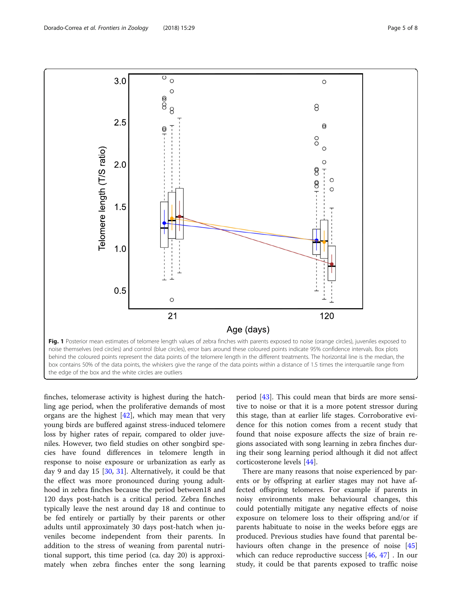<span id="page-4-0"></span>

finches, telomerase activity is highest during the hatchling age period, when the proliferative demands of most organs are the highest [[42\]](#page-7-0), which may mean that very young birds are buffered against stress-induced telomere loss by higher rates of repair, compared to older juveniles. However, two field studies on other songbird species have found differences in telomere length in response to noise exposure or urbanization as early as day 9 and day 15 [[30,](#page-7-0) [31\]](#page-7-0). Alternatively, it could be that the effect was more pronounced during young adulthood in zebra finches because the period between18 and 120 days post-hatch is a critical period. Zebra finches typically leave the nest around day 18 and continue to be fed entirely or partially by their parents or other adults until approximately 30 days post-hatch when juveniles become independent from their parents. In addition to the stress of weaning from parental nutritional support, this time period (ca. day 20) is approximately when zebra finches enter the song learning

period [[43\]](#page-7-0). This could mean that birds are more sensitive to noise or that it is a more potent stressor during this stage, than at earlier life stages. Corroborative evidence for this notion comes from a recent study that found that noise exposure affects the size of brain regions associated with song learning in zebra finches during their song learning period although it did not affect corticosterone levels [\[44](#page-7-0)].

There are many reasons that noise experienced by parents or by offspring at earlier stages may not have affected offspring telomeres. For example if parents in noisy environments make behavioural changes, this could potentially mitigate any negative effects of noise exposure on telomere loss to their offspring and/or if parents habituate to noise in the weeks before eggs are produced. Previous studies have found that parental be-haviours often change in the presence of noise [[45](#page-7-0)] which can reduce reproductive success  $[46, 47]$  $[46, 47]$  $[46, 47]$  $[46, 47]$  $[46, 47]$ . In our study, it could be that parents exposed to traffic noise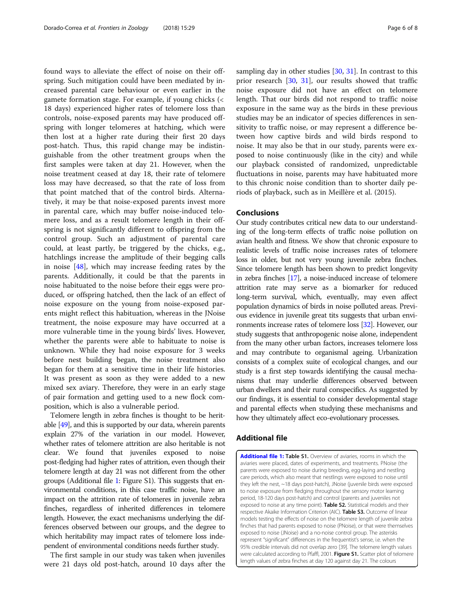<span id="page-5-0"></span>found ways to alleviate the effect of noise on their offspring. Such mitigation could have been mediated by increased parental care behaviour or even earlier in the gamete formation stage. For example, if young chicks (< 18 days) experienced higher rates of telomere loss than controls, noise-exposed parents may have produced offspring with longer telomeres at hatching, which were then lost at a higher rate during their first 20 days post-hatch. Thus, this rapid change may be indistinguishable from the other treatment groups when the first samples were taken at day 21. However, when the noise treatment ceased at day 18, their rate of telomere loss may have decreased, so that the rate of loss from that point matched that of the control birds. Alternatively, it may be that noise-exposed parents invest more in parental care, which may buffer noise-induced telomere loss, and as a result telomere length in their offspring is not significantly different to offspring from the control group. Such an adjustment of parental care could, at least partly, be triggered by the chicks, e.g., hatchlings increase the amplitude of their begging calls in noise [\[48\]](#page-7-0), which may increase feeding rates by the parents. Additionally, it could be that the parents in noise habituated to the noise before their eggs were produced, or offspring hatched, then the lack of an effect of noise exposure on the young from noise-exposed parents might reflect this habituation, whereas in the JNoise treatment, the noise exposure may have occurred at a more vulnerable time in the young birds' lives. However, whether the parents were able to habituate to noise is unknown. While they had noise exposure for 3 weeks before nest building began, the noise treatment also began for them at a sensitive time in their life histories. It was present as soon as they were added to a new mixed sex aviary. Therefore, they were in an early stage of pair formation and getting used to a new flock composition, which is also a vulnerable period.

Telomere length in zebra finches is thought to be heritable [\[49](#page-7-0)], and this is supported by our data, wherein parents explain 27% of the variation in our model. However, whether rates of telomere attrition are also heritable is not clear. We found that juveniles exposed to noise post-fledging had higher rates of attrition, even though their telomere length at day 21 was not different from the other groups (Additional file 1: Figure S1). This suggests that environmental conditions, in this case traffic noise, have an impact on the attrition rate of telomeres in juvenile zebra finches, regardless of inherited differences in telomere length. However, the exact mechanisms underlying the differences observed between our groups, and the degree to which heritability may impact rates of telomere loss independent of environmental conditions needs further study.

The first sample in our study was taken when juveniles were 21 days old post-hatch, around 10 days after the sampling day in other studies [\[30](#page-7-0), [31](#page-7-0)]. In contrast to this prior research [[30](#page-7-0), [31](#page-7-0)], our results showed that traffic noise exposure did not have an effect on telomere length. That our birds did not respond to traffic noise exposure in the same way as the birds in these previous studies may be an indicator of species differences in sensitivity to traffic noise, or may represent a difference between how captive birds and wild birds respond to noise. It may also be that in our study, parents were exposed to noise continuously (like in the city) and while our playback consisted of randomized, unpredictable fluctuations in noise, parents may have habituated more to this chronic noise condition than to shorter daily periods of playback, such as in Meillère et al. (2015).

# Conclusions

Our study contributes critical new data to our understanding of the long-term effects of traffic noise pollution on avian health and fitness. We show that chronic exposure to realistic levels of traffic noise increases rates of telomere loss in older, but not very young juvenile zebra finches. Since telomere length has been shown to predict longevity in zebra finches [\[17](#page-6-0)], a noise-induced increase of telomere attrition rate may serve as a biomarker for reduced long-term survival, which, eventually, may even affect population dynamics of birds in noise polluted areas. Previous evidence in juvenile great tits suggests that urban environments increase rates of telomere loss [\[32\]](#page-7-0). However, our study suggests that anthropogenic noise alone, independent from the many other urban factors, increases telomere loss and may contribute to organismal ageing. Urbanization consists of a complex suite of ecological changes, and our study is a first step towards identifying the causal mechanisms that may underlie differences observed between urban dwellers and their rural conspecifics. As suggested by our findings, it is essential to consider developmental stage and parental effects when studying these mechanisms and how they ultimately affect eco-evolutionary processes.

# Additional file

[Additional file 1:](https://doi.org/10.1186/s12983-018-0275-8) Table S1. Overview of aviaries, rooms in which the aviaries were placed, dates of experiments, and treatments. PNoise (the parents were exposed to noise during breeding, egg-laying and nestling care periods, which also meant that nestlings were exposed to noise until they left the nest, ~18 days post-hatch), JNoise (juvenile birds were exposed to noise exposure from fledging throughout the sensory motor learning period, 18-120 days post-hatch) and control (parents and juveniles not exposed to noise at any time point). Table S2. Statistical models and their respective Akaike Information Criterion (AIC). Table S3. Outcome of linear models testing the effects of noise on the telomere length of juvenile zebra finches that had parents exposed to noise (PNoise), or that were themselves exposed to noise (JNoise) and a no-noise control group. The asterisks represent "significant" differences in the frequentist's sense, i.e. when the 95% credible intervals did not overlap zero [39]. The telomere length values were calculated according to Pfaffl, 2001. Figure S1. Scatter plot of telomere length values of zebra finches at day 120 against day 21. The colours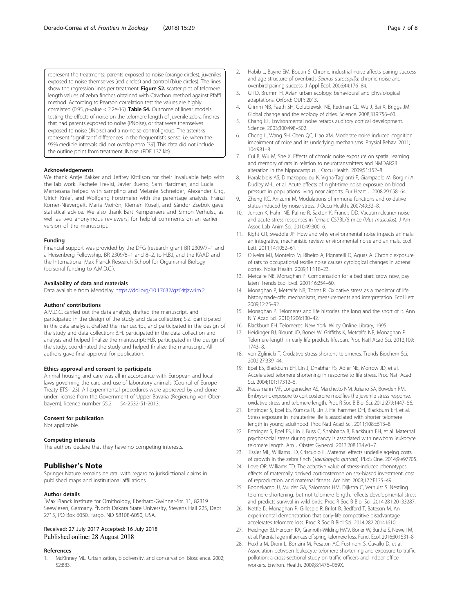<span id="page-6-0"></span>represent the treatments: parents exposed to noise (orange circles), juveniles exposed to noise themselves (red circles) and control (blue circles). The lines show the regression lines per treatment. Figure S2. scatter plot of telomere length values of zebra finches obtained with Cawthon method against Pfaffl method. According to Pearson correlation test the values are highly correlated (0.95, p-value < 2.2e-16). Table S4. Outcome of linear models testing the effects of noise on the telomere length of juvenile zebra finches that had parents exposed to noise (PNoise), or that were themselves exposed to noise (JNoise) and a no-noise control group. The asterisks represent "significant" differences in the frequentist's sense, i.e. when the 95% credible intervals did not overlap zero [39]. This data did not include the outline point from treatment JNoise. (PDF 137 kb)

#### Acknowledgements

We thank Antje Bakker and Jeffrey Kittilson for their invaluable help with the lab work. Rachele Trevisi, Javier Bueno, Sam Hardman, and Lucia Mentesana helped with sampling and Melanie Schneider, Alexander Girg, Ulrich Knief, and Wolfgang Forstmeier with the parentage analysis. Fränzi Korner-Nievergelt, María Moirón, Klemen Koselj, and Sándor Zsebök gave statistical advice. We also thank Bart Kempenaers and Simon Verhulst, as well as two anonymous reviewers, for helpful comments on an earlier version of the manuscript.

#### Funding

Financial support was provided by the DFG (research grant BR 2309/7–1 and a Heisenberg Fellowship, BR 2309/8–1 and 8–2, to H.B.), and the KAAD and the International Max Planck Research School for Organismal Biology (personal funding to A.M.D.C.).

#### Availability of data and materials

Data available from Mendelay <https://doi.org/10.17632/gz64tjzw4m.2>.

#### Authors' contributions

A.M.D.C. carried out the data analysis, drafted the manuscript, and participated in the design of the study and data collection; S.Z. participated in the data analysis, drafted the manuscript, and participated in the design of the study and data collection; B.H. participated in the data collection and analysis and helped finalize the manuscript; H.B. participated in the design of the study, coordinated the study and helped finalize the manuscript. All authors gave final approval for publication.

#### Ethics approval and consent to participate

Animal housing and care was all in accordance with European and local laws governing the care and use of laboratory animals (Council of Europe Treaty ETS-123). All experimental procedures were approved by and done under license from the Government of Upper Bavaria (Regierung von Oberbayern), licence number 55.2–1–54-2532-51-2013.

#### Consent for publication

Not applicable.

#### Competing interests

The authors declare that they have no competing interests.

## Publisher's Note

Springer Nature remains neutral with regard to jurisdictional claims in published maps and institutional affiliations.

#### Author details

<sup>1</sup>Max Planck Institute for Ornithology, Eberhard-Gwinner-Str. 11, 82319 Seewiesen, Germany. <sup>2</sup>North Dakota State University, Stevens Hall 225, Dept 2715, PO Box 6050, Fargo, ND 58108-6050, USA.

## Received: 27 July 2017 Accepted: 16 July 2018 Published online: 28 August 2018

#### References

1. McKinney ML. Urbanization, biodiversity, and conservation. Bioscience. 2002; 52:883.

- 2. Habib L, Bayne EM, Boutin S. Chronic industrial noise affects pairing success and age structure of ovenbirds Seiurus aurocapilla: chronic noise and ovenbird pairing success. J Appl Ecol. 2006;44:176–84.
- 3. Gil D, Brumm H. Avian urban ecology: behavioural and physiological adaptations. Oxford: OUP; 2013.
- 4. Grimm NB, Faeth SH, Golubiewski NE, Redman CL, Wu J, Bai X, Briggs JM. Global change and the ecology of cities. Science. 2008;319:756–60.
- 5. Chang EF. Environmental noise retards auditory cortical development. Science. 2003;300:498–502.
- 6. Cheng L, Wang SH, Chen QC, Liao XM. Moderate noise induced cognition impairment of mice and its underlying mechanisms. Physiol Behav. 2011; 104:981–8.
- 7. Cui B, Wu M, She X. Effects of chronic noise exposure on spatial learning and memory of rats in relation to neurotransmitters and NMDAR2B alteration in the hippocampus. J Occu Health. 2009;51:152–8.
- 8. Haralabidis AS, Dimakopoulou K, Vigna-Taglianti F, Giampaolo M, Borgini A, Dudley M-L, et al. Acute effects of night-time noise exposure on blood pressure in populations living near airports. Eur Heart J. 2008;29:658–64.
- 9. Zheng KC, Ariizumi M. Modulations of immune functions and oxidative status induced by noise stress. J Occu Health. 2007;49:32–8.
- 10. Jensen K, Hahn NE, Palme R, Saxton K, Francis DD. Vacuum-cleaner noise and acute stress responses in female C57BL/6 mice (Mus musculus). J Am Assoc Lab Anim Sci. 2010;49:300–6.
- 11. Kight CR, Swaddle JP. How and why environmental noise impacts animals: an integrative, mechanistic review: environmental noise and animals. Ecol Lett. 2011;14:1052-61.
- 12. Oliveira MJ, Monteiro M, Ribeiro A, Pignatelli D, Aguas A. Chronic exposure of rats to occupational textile noise causes cytological changes in adrenal cortex. Noise Health. 2009;11:118–23.
- 13. Metcalfe NB, Monaghan P. Compensation for a bad start: grow now, pay later? Trends Ecol Evol. 2001;16:254–60.
- 14. Monaghan P, Metcalfe NB, Torres R. Oxidative stress as a mediator of life history trade-offs: mechanisms, measurements and interpretation. Ecol Lett. 2009;12:75–92.
- 15. Monaghan P. Telomeres and life histories: the long and the short of it. Ann N Y Acad Sci. 2010;1206:130–42.
- 16. Blackburn EH. Telomeres. New York: Wiley Online Library; 1995.
- 17. Heidinger BJ, Blount JD, Boner W, Griffiths K, Metcalfe NB, Monaghan P. Telomere length in early life predicts lifespan. Proc Natl Acad Sci. 2012;109: 1743–8.
- 18. von Zglinicki T. Oxidative stress shortens telomeres. Trends Biochem Sci. 2002;27:339–44.
- 19. Epel ES, Blackburn EH, Lin J, Dhabhar FS, Adler NE, Morrow JD, et al. Accelerated telomere shortening in response to life stress. Proc Natl Acad Sci. 2004;101:17312–5.
- 20. Haussmann MF, Longenecker AS, Marchetto NM, Juliano SA, Bowden RM. Embryonic exposure to corticosterone modifies the juvenile stress response, oxidative stress and telomere length. Proc R Soc B Biol Sci. 2012;279:1447–56.
- 21. Entringer S, Epel ES, Kumsta R, Lin J, Hellhammer DH, Blackburn EH, et al. Stress exposure in intrauterine life is associated with shorter telomere length in young adulthood. Proc Natl Acad Sci. 2011;108:E513–8.
- 22. Entringer S, Epel ES, Lin J, Buss C, Shahbaba B, Blackburn EH, et al. Maternal psychosocial stress during pregnancy is associated with newborn leukocyte telomere length. Am J Obstet Gynecol. 2013;208:134.e1–7.
- 23. Tissier ML, Williams TD, Criscuolo F. Maternal effects underlie ageing costs of growth in the zebra finch (Taeniopygia guttata). PLoS One. 2014;9:e97705.
- 24. Love OP, Williams TD. The adaptive value of stress-induced phenotypes: effects of maternally derived corticosterone on sex-biased investment, cost of reproduction, and maternal fitness. Am Nat. 2008;172:E135–49.
- 25. Boonekamp JJ, Mulder GA, Salomons HM, Dijkstra C, Verhulst S. Nestling telomere shortening, but not telomere length, reflects developmental stress and predicts survival in wild birds. Proc R Soc B Biol Sci. 2014;281:20133287.
- 26. Nettle D, Monaghan P, Gillespie R, Brilot B, Bedford T, Bateson M. An experimental demonstration that early-life competitive disadvantage accelerates telomere loss. Proc R Soc B Biol Sci. 2014;282:20141610.
- 27. Heidinger BJ, Herborn KA, Granroth-Wilding HMV, Boner W, Burthe S, Newell M, et al. Parental age influences offspring telomere loss. Funct Ecol. 2016;30:1531–8.
- 28. Hoxha M, Dioni L, Bonzini M, Pesatori AC, Fustinoni S, Cavallo D, et al. Association between leukocyte telomere shortening and exposure to traffic pollution: a cross-sectional study on traffic officers and indoor office workers. Environ. Health. 2009;8:1476–069X.